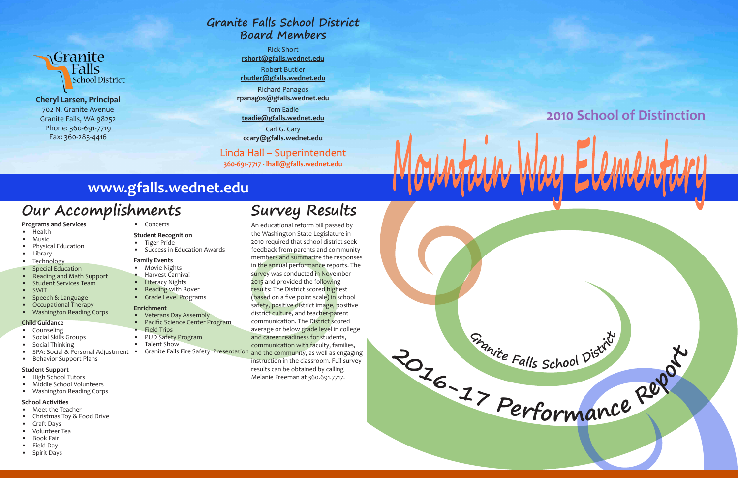

**<sup>G</sup><sup>r</sup>anit<sup>e</sup> <sup>F</sup>all<sup>s</sup> <sup>S</sup>choo<sup>l</sup> <sup>D</sup>istric<sup>t</sup>**



**Cheryl Larsen, Principal** 702 N. Granite Avenue Granite Falls, WA 98252 Phone: 360-691-7719 Fax: 360-283-4416

#### **Programs and Services**

- Health
- Music
- Physical Education
- Library
- Technology
- Special Education
- Reading and Math Support
- Student Services Team
- SWIT
- Speech & Language
- Occupational Therapy
- Washington Reading Corps
- **Child Guidance**
- Counseling
- Social Skills Groups
- Social Thinking
- 
- Behavior Support Plans
- Veterans Day Assembly
- Pacific Science Center Program
- Field Trips
- PUD Safety Program
- Talent Show
- SPA: Social & Personal Adjustment Granite Falls Fire Safety Presentation and the community, as well as engaging

#### **Student Support**

- High School Tutors
- Middle School Volunteers
- Washington Reading Corps

#### **School Activities**

- Meet the Teacher
- Christmas Toy & Food Drive
- Craft Days
- Volunteer Tea
- Book Fair
- Field Day • Spirit Days

• Concerts

#### **Student Recognition**

- Tiger Pride
- Success in Education Awards

#### **Family Events**

- Movie Nights
- Harvest Carnival
- Literacy Nights
- Reading with Rover
- Grade Level Programs

#### **Enrichment**

## **Our Accomplishments**

## **www.gfalls.wednet.edu**

**Survey Results**

An educational reform bill passed by the Washington State Legislature in 2010 required that school district seek feedback from parents and community members and summarize the responses in the annual performance reports. The survey was conducted in November 2015 and provided the following results: The District scored highest (based on a five point scale) in school safety, positive district image, positive district culture, and teacher-parent communication. The District scored average or below grade level in college and career readiness for students, communication with faculty, families,

instruction in the classroom. Full survey results can be obtained by calling Melanie Freeman at 360.691.7717.



## **Granite Falls School District Board Members**

Rick Short **rshort@gfalls.wednet.edu**

Robert Buttler **rbutler@gfalls.wednet.edu**

Richard Panagos **rpanagos@gfalls.wednet.edu**

Tom Eadie **teadie@gfalls.wednet.edu**

Carl G. Cary **ccary@gfalls.wednet.edu**

## Linda Hall – Superintendent

**360-691-7717 - lhall@gfalls.wednet.edu**